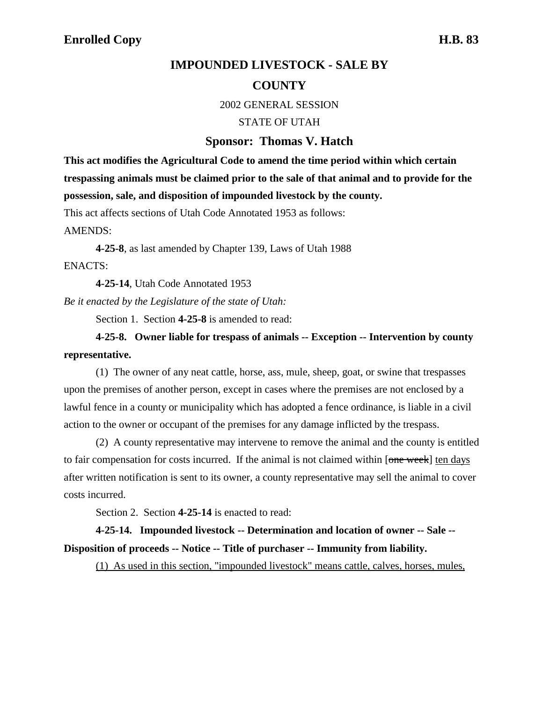## **IMPOUNDED LIVESTOCK - SALE BY COUNTY**

2002 GENERAL SESSION

STATE OF UTAH

## **Sponsor: Thomas V. Hatch**

**This act modifies the Agricultural Code to amend the time period within which certain trespassing animals must be claimed prior to the sale of that animal and to provide for the possession, sale, and disposition of impounded livestock by the county.**

This act affects sections of Utah Code Annotated 1953 as follows:

AMENDS:

**4-25-8**, as last amended by Chapter 139, Laws of Utah 1988 ENACTS:

**4-25-14**, Utah Code Annotated 1953

*Be it enacted by the Legislature of the state of Utah:*

Section 1. Section **4-25-8** is amended to read:

## **4-25-8. Owner liable for trespass of animals -- Exception -- Intervention by county representative.**

(1) The owner of any neat cattle, horse, ass, mule, sheep, goat, or swine that trespasses upon the premises of another person, except in cases where the premises are not enclosed by a lawful fence in a county or municipality which has adopted a fence ordinance, is liable in a civil action to the owner or occupant of the premises for any damage inflicted by the trespass.

(2) A county representative may intervene to remove the animal and the county is entitled to fair compensation for costs incurred. If the animal is not claimed within [one week] ten days after written notification is sent to its owner, a county representative may sell the animal to cover costs incurred.

Section 2. Section **4-25-14** is enacted to read:

**4-25-14. Impounded livestock -- Determination and location of owner -- Sale -- Disposition of proceeds -- Notice -- Title of purchaser -- Immunity from liability.**

(1) As used in this section, "impounded livestock" means cattle, calves, horses, mules,